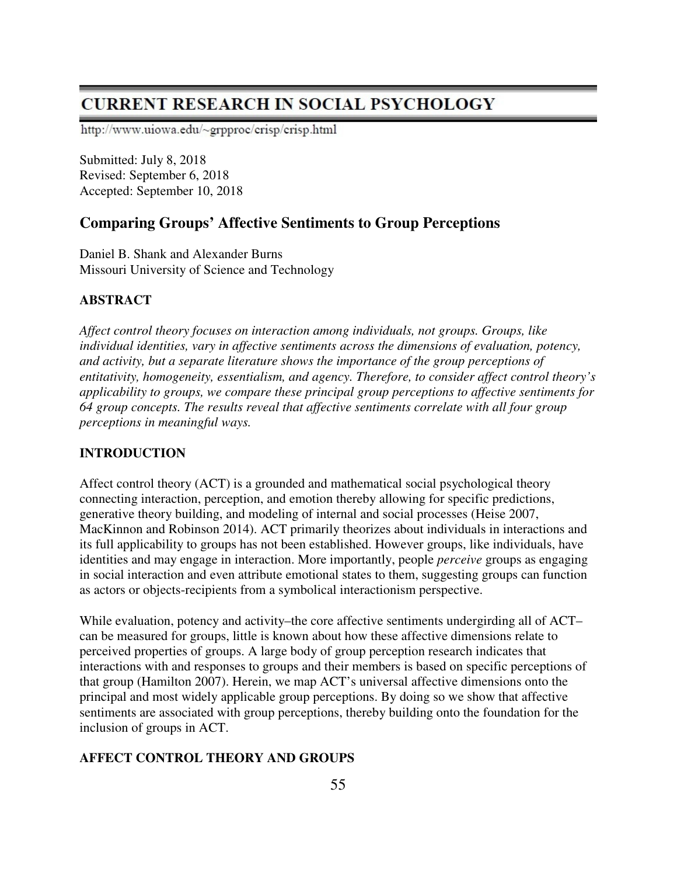# **CURRENT RESEARCH IN SOCIAL PSYCHOLOGY**

http://www.uiowa.edu/~grpproc/crisp/crisp.html

Submitted: July 8, 2018 Revised: September 6, 2018 Accepted: September 10, 2018

# **Comparing Groups' Affective Sentiments to Group Perceptions**

Daniel B. Shank and Alexander Burns Missouri University of Science and Technology

# **ABSTRACT**

*Affect control theory focuses on interaction among individuals, not groups. Groups, like individual identities, vary in affective sentiments across the dimensions of evaluation, potency, and activity, but a separate literature shows the importance of the group perceptions of entitativity, homogeneity, essentialism, and agency. Therefore, to consider affect control theory's applicability to groups, we compare these principal group perceptions to affective sentiments for 64 group concepts. The results reveal that affective sentiments correlate with all four group perceptions in meaningful ways.* 

# **INTRODUCTION**

Affect control theory (ACT) is a grounded and mathematical social psychological theory connecting interaction, perception, and emotion thereby allowing for specific predictions, generative theory building, and modeling of internal and social processes (Heise 2007, MacKinnon and Robinson 2014). ACT primarily theorizes about individuals in interactions and its full applicability to groups has not been established. However groups, like individuals, have identities and may engage in interaction. More importantly, people *perceive* groups as engaging in social interaction and even attribute emotional states to them, suggesting groups can function as actors or objects-recipients from a symbolical interactionism perspective.

While evaluation, potency and activity–the core affective sentiments undergirding all of ACT– can be measured for groups, little is known about how these affective dimensions relate to perceived properties of groups. A large body of group perception research indicates that interactions with and responses to groups and their members is based on specific perceptions of that group (Hamilton 2007). Herein, we map ACT's universal affective dimensions onto the principal and most widely applicable group perceptions. By doing so we show that affective sentiments are associated with group perceptions, thereby building onto the foundation for the inclusion of groups in ACT.

# **AFFECT CONTROL THEORY AND GROUPS**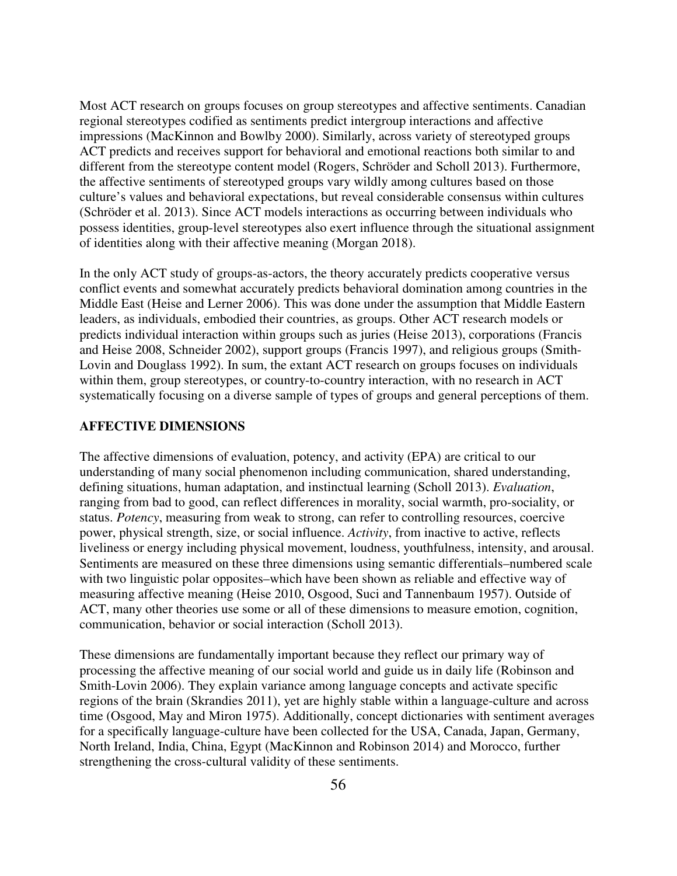Most ACT research on groups focuses on group stereotypes and affective sentiments. Canadian regional stereotypes codified as sentiments predict intergroup interactions and affective impressions (MacKinnon and Bowlby 2000). Similarly, across variety of stereotyped groups ACT predicts and receives support for behavioral and emotional reactions both similar to and different from the stereotype content model (Rogers, Schröder and Scholl 2013). Furthermore, the affective sentiments of stereotyped groups vary wildly among cultures based on those culture's values and behavioral expectations, but reveal considerable consensus within cultures (Schröder et al. 2013). Since ACT models interactions as occurring between individuals who possess identities, group-level stereotypes also exert influence through the situational assignment of identities along with their affective meaning (Morgan 2018).

In the only ACT study of groups-as-actors, the theory accurately predicts cooperative versus conflict events and somewhat accurately predicts behavioral domination among countries in the Middle East (Heise and Lerner 2006). This was done under the assumption that Middle Eastern leaders, as individuals, embodied their countries, as groups. Other ACT research models or predicts individual interaction within groups such as juries (Heise 2013), corporations (Francis and Heise 2008, Schneider 2002), support groups (Francis 1997), and religious groups (Smith-Lovin and Douglass 1992). In sum, the extant ACT research on groups focuses on individuals within them, group stereotypes, or country-to-country interaction, with no research in ACT systematically focusing on a diverse sample of types of groups and general perceptions of them.

#### **AFFECTIVE DIMENSIONS**

The affective dimensions of evaluation, potency, and activity (EPA) are critical to our understanding of many social phenomenon including communication, shared understanding, defining situations, human adaptation, and instinctual learning (Scholl 2013). *Evaluation*, ranging from bad to good, can reflect differences in morality, social warmth, pro-sociality, or status. *Potency*, measuring from weak to strong, can refer to controlling resources, coercive power, physical strength, size, or social influence. *Activity*, from inactive to active, reflects liveliness or energy including physical movement, loudness, youthfulness, intensity, and arousal. Sentiments are measured on these three dimensions using semantic differentials–numbered scale with two linguistic polar opposites–which have been shown as reliable and effective way of measuring affective meaning (Heise 2010, Osgood, Suci and Tannenbaum 1957). Outside of ACT, many other theories use some or all of these dimensions to measure emotion, cognition, communication, behavior or social interaction (Scholl 2013).

These dimensions are fundamentally important because they reflect our primary way of processing the affective meaning of our social world and guide us in daily life (Robinson and Smith-Lovin 2006). They explain variance among language concepts and activate specific regions of the brain (Skrandies 2011), yet are highly stable within a language-culture and across time (Osgood, May and Miron 1975). Additionally, concept dictionaries with sentiment averages for a specifically language-culture have been collected for the USA, Canada, Japan, Germany, North Ireland, India, China, Egypt (MacKinnon and Robinson 2014) and Morocco, further strengthening the cross-cultural validity of these sentiments.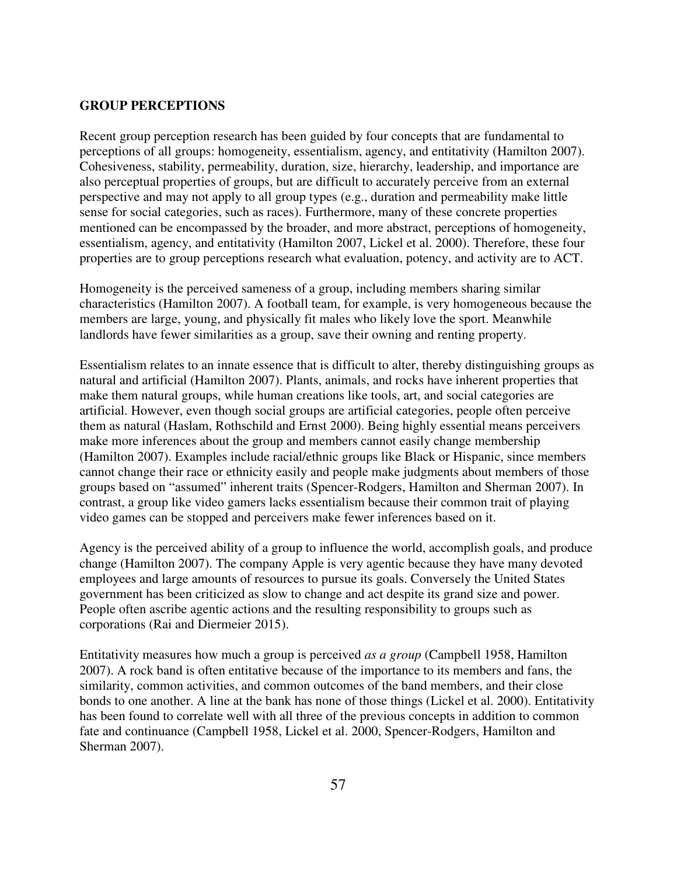### **GROUP PERCEPTIONS**

Recent group perception research has been guided by four concepts that are fundamental to perceptions of all groups: homogeneity, essentialism, agency, and entitativity (Hamilton 2007). Cohesiveness, stability, permeability, duration, size, hierarchy, leadership, and importance are also perceptual properties of groups, but are difficult to accurately perceive from an external perspective and may not apply to all group types (e.g., duration and permeability make little sense for social categories, such as races). Furthermore, many of these concrete properties mentioned can be encompassed by the broader, and more abstract, perceptions of homogeneity, essentialism, agency, and entitativity (Hamilton 2007, Lickel et al. 2000). Therefore, these four properties are to group perceptions research what evaluation, potency, and activity are to ACT.

Homogeneity is the perceived sameness of a group, including members sharing similar characteristics (Hamilton 2007). A football team, for example, is very homogeneous because the members are large, young, and physically fit males who likely love the sport. Meanwhile landlords have fewer similarities as a group, save their owning and renting property.

Essentialism relates to an innate essence that is difficult to alter, thereby distinguishing groups as natural and artificial (Hamilton 2007). Plants, animals, and rocks have inherent properties that make them natural groups, while human creations like tools, art, and social categories are artificial. However, even though social groups are artificial categories, people often perceive them as natural (Haslam, Rothschild and Ernst 2000). Being highly essential means perceivers make more inferences about the group and members cannot easily change membership (Hamilton 2007). Examples include racial/ethnic groups like Black or Hispanic, since members cannot change their race or ethnicity easily and people make judgments about members of those groups based on "assumed" inherent traits (Spencer-Rodgers, Hamilton and Sherman 2007). In contrast, a group like video gamers lacks essentialism because their common trait of playing video games can be stopped and perceivers make fewer inferences based on it.

Agency is the perceived ability of a group to influence the world, accomplish goals, and produce change (Hamilton 2007). The company Apple is very agentic because they have many devoted employees and large amounts of resources to pursue its goals. Conversely the United States government has been criticized as slow to change and act despite its grand size and power. People often ascribe agentic actions and the resulting responsibility to groups such as corporations (Rai and Diermeier 2015).

Entitativity measures how much a group is perceived *as a group* (Campbell 1958, Hamilton 2007). A rock band is often entitative because of the importance to its members and fans, the similarity, common activities, and common outcomes of the band members, and their close bonds to one another. A line at the bank has none of those things (Lickel et al. 2000). Entitativity has been found to correlate well with all three of the previous concepts in addition to common fate and continuance (Campbell 1958, Lickel et al. 2000, Spencer-Rodgers, Hamilton and Sherman 2007).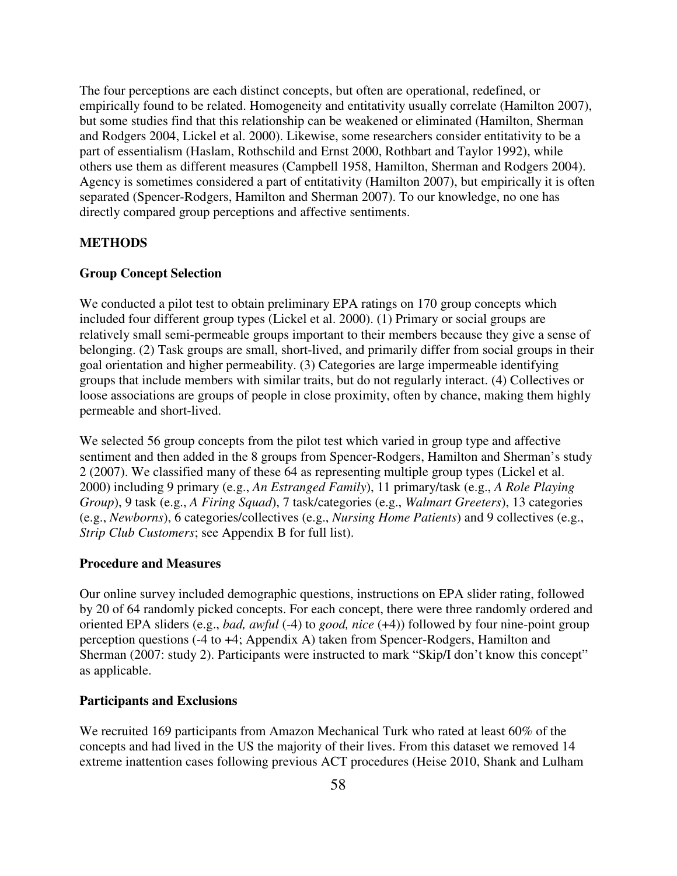The four perceptions are each distinct concepts, but often are operational, redefined, or empirically found to be related. Homogeneity and entitativity usually correlate (Hamilton 2007), but some studies find that this relationship can be weakened or eliminated (Hamilton, Sherman and Rodgers 2004, Lickel et al. 2000). Likewise, some researchers consider entitativity to be a part of essentialism (Haslam, Rothschild and Ernst 2000, Rothbart and Taylor 1992), while others use them as different measures (Campbell 1958, Hamilton, Sherman and Rodgers 2004). Agency is sometimes considered a part of entitativity (Hamilton 2007), but empirically it is often separated (Spencer-Rodgers, Hamilton and Sherman 2007). To our knowledge, no one has directly compared group perceptions and affective sentiments.

# **METHODS**

### **Group Concept Selection**

We conducted a pilot test to obtain preliminary EPA ratings on 170 group concepts which included four different group types (Lickel et al. 2000). (1) Primary or social groups are relatively small semi-permeable groups important to their members because they give a sense of belonging. (2) Task groups are small, short-lived, and primarily differ from social groups in their goal orientation and higher permeability. (3) Categories are large impermeable identifying groups that include members with similar traits, but do not regularly interact. (4) Collectives or loose associations are groups of people in close proximity, often by chance, making them highly permeable and short-lived.

We selected 56 group concepts from the pilot test which varied in group type and affective sentiment and then added in the 8 groups from Spencer-Rodgers, Hamilton and Sherman's study 2 (2007). We classified many of these 64 as representing multiple group types (Lickel et al. 2000) including 9 primary (e.g., *An Estranged Family*), 11 primary/task (e.g., *A Role Playing Group*), 9 task (e.g., *A Firing Squad*), 7 task/categories (e.g., *Walmart Greeters*), 13 categories (e.g., *Newborns*), 6 categories/collectives (e.g., *Nursing Home Patients*) and 9 collectives (e.g., *Strip Club Customers*; see Appendix B for full list).

#### **Procedure and Measures**

Our online survey included demographic questions, instructions on EPA slider rating, followed by 20 of 64 randomly picked concepts. For each concept, there were three randomly ordered and oriented EPA sliders (e.g., *bad, awful* (-4) to *good, nice* (+4)) followed by four nine-point group perception questions (-4 to +4; Appendix A) taken from Spencer-Rodgers, Hamilton and Sherman (2007: study 2). Participants were instructed to mark "Skip/I don't know this concept" as applicable.

#### **Participants and Exclusions**

We recruited 169 participants from Amazon Mechanical Turk who rated at least 60% of the concepts and had lived in the US the majority of their lives. From this dataset we removed 14 extreme inattention cases following previous ACT procedures (Heise 2010, Shank and Lulham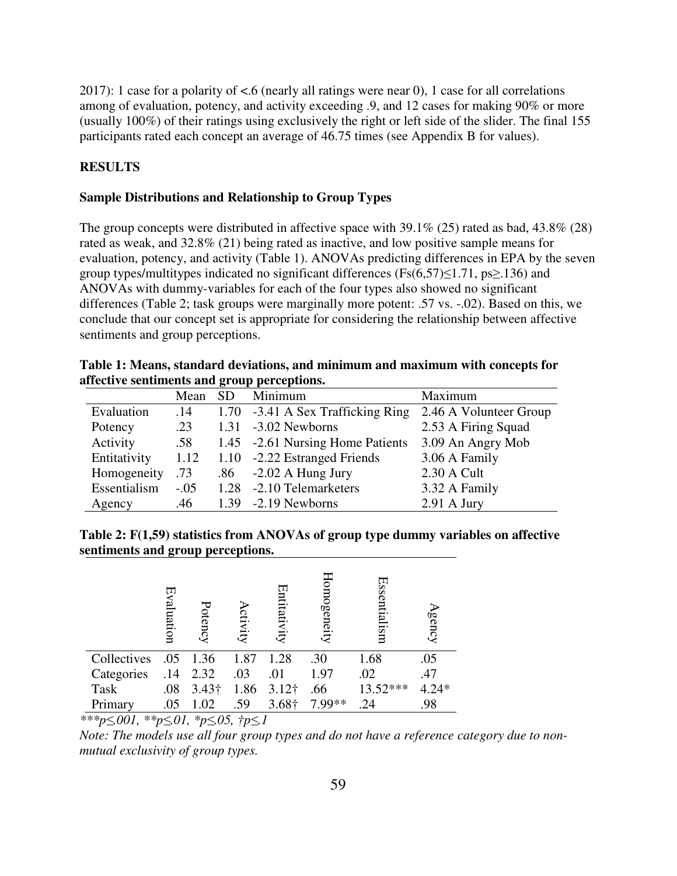2017): 1 case for a polarity of  $\lt$ .6 (nearly all ratings were near 0), 1 case for all correlations among of evaluation, potency, and activity exceeding .9, and 12 cases for making 90% or more (usually 100%) of their ratings using exclusively the right or left side of the slider. The final 155 participants rated each concept an average of 46.75 times (see Appendix B for values).

# **RESULTS**

#### **Sample Distributions and Relationship to Group Types**

The group concepts were distributed in affective space with  $39.1\%$  (25) rated as bad, 43.8% (28) rated as weak, and 32.8% (21) being rated as inactive, and low positive sample means for evaluation, potency, and activity (Table 1). ANOVAs predicting differences in EPA by the seven group types/multitypes indicated no significant differences (Fs $(6,57) \le 1.71$ , ps $\ge 136$ ) and ANOVAs with dummy-variables for each of the four types also showed no significant differences (Table 2; task groups were marginally more potent: .57 vs. -.02). Based on this, we conclude that our concept set is appropriate for considering the relationship between affective sentiments and group perceptions.

|                                             | Table 1: Means, standard deviations, and minimum and maximum with concepts for |
|---------------------------------------------|--------------------------------------------------------------------------------|
| affective sentiments and group perceptions. |                                                                                |

|              | Mean   | <b>SD</b> | Minimum                           | Maximum                |
|--------------|--------|-----------|-----------------------------------|------------------------|
| Evaluation   | .14    |           | 1.70 -3.41 A Sex Trafficking Ring | 2.46 A Volunteer Group |
| Potency      | .23    |           | $1.31 -3.02$ Newborns             | 2.53 A Firing Squad    |
| Activity     | .58    |           | 1.45 -2.61 Nursing Home Patients  | 3.09 An Angry Mob      |
| Entitativity | 1.12   |           | 1.10 -2.22 Estranged Friends      | 3.06 A Family          |
| Homogeneity  | .73    |           | $.86 - 2.02$ A Hung Jury          | 2.30 A Cult            |
| Essentialism | $-.05$ |           | 1.28 -2.10 Telemarketers          | 3.32 A Family          |
| Agency       | .46    |           | $1.39 - 2.19$ Newborns            | $2.91$ A Jury          |

**Table 2: F(1,59) statistics from ANOVAs of group type dummy variables on affective sentiments and group perceptions.** 

|             | Evaluation | Potency       | ctivity | Entitativ<br>Ę | Homogeneity | Essenti<br>ialism | gency   |
|-------------|------------|---------------|---------|----------------|-------------|-------------------|---------|
| Collectives | .05        | 1.36          | 1.87    | 1.28           | .30         | 1.68              | .05     |
| Categories  | .14        | 2.32          | .03     | .01            | 1.97        | .02               | .47     |
| <b>Task</b> | .08        | $3.43\dagger$ | 1.86    | $3.12\dagger$  | .66         | 13.52***          | $4.24*$ |
| Primary     | .05        | 1.02          | .59     | 3.68†          | 7 99**      | .24               | .98     |

*\*\*\*p≤.001, \*\*p≤.01, \*p≤.05, †p≤.1* 

*Note: The models use all four group types and do not have a reference category due to nonmutual exclusivity of group types.*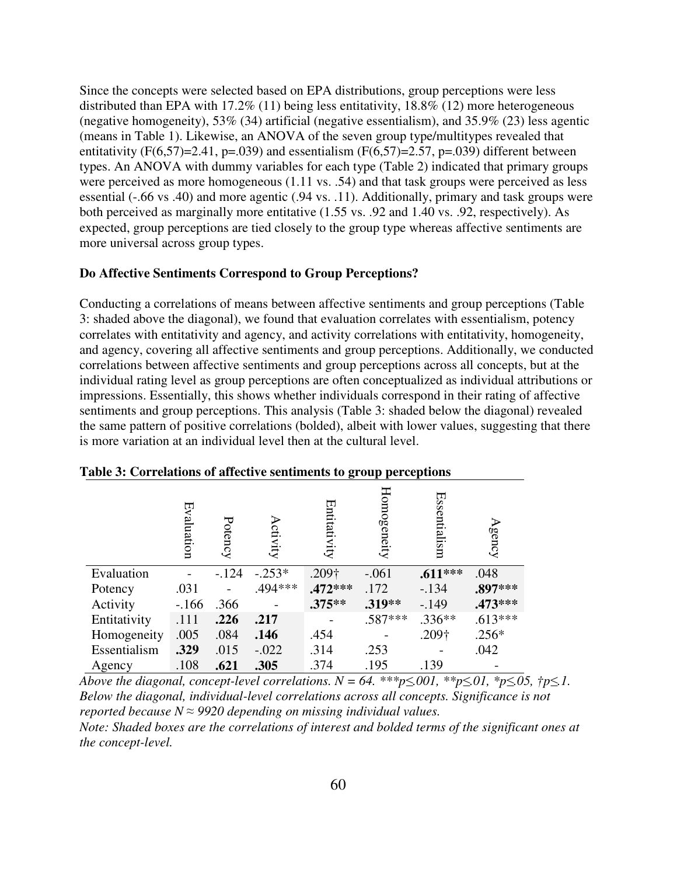Since the concepts were selected based on EPA distributions, group perceptions were less distributed than EPA with 17.2% (11) being less entitativity, 18.8% (12) more heterogeneous (negative homogeneity), 53% (34) artificial (negative essentialism), and 35.9% (23) less agentic (means in Table 1). Likewise, an ANOVA of the seven group type/multitypes revealed that entitativity (F(6,57)=2.41, p=.039) and essentialism (F(6,57)=2.57, p=.039) different between types. An ANOVA with dummy variables for each type (Table 2) indicated that primary groups were perceived as more homogeneous (1.11 vs. .54) and that task groups were perceived as less essential (-.66 vs .40) and more agentic (.94 vs. .11). Additionally, primary and task groups were both perceived as marginally more entitative (1.55 vs. .92 and 1.40 vs. .92, respectively). As expected, group perceptions are tied closely to the group type whereas affective sentiments are more universal across group types.

# **Do Affective Sentiments Correspond to Group Perceptions?**

Conducting a correlations of means between affective sentiments and group perceptions (Table 3: shaded above the diagonal), we found that evaluation correlates with essentialism, potency correlates with entitativity and agency, and activity correlations with entitativity, homogeneity, and agency, covering all affective sentiments and group perceptions. Additionally, we conducted correlations between affective sentiments and group perceptions across all concepts, but at the individual rating level as group perceptions are often conceptualized as individual attributions or impressions. Essentially, this shows whether individuals correspond in their rating of affective sentiments and group perceptions. This analysis (Table 3: shaded below the diagonal) revealed the same pattern of positive correlations (bolded), albeit with lower values, suggesting that there is more variation at an individual level then at the cultural level.

|              | Evaluation | Potency | ctivity  | Entitativity | Homogeneity | Essentialism | gency     |
|--------------|------------|---------|----------|--------------|-------------|--------------|-----------|
| Evaluation   |            | $-124$  | $-.253*$ | .209†        | $-.061$     | $.611***$    | .048      |
| Potency      | .031       |         | .494 *** | $.472***$    | .172        | $-.134$      | .897***   |
| Activity     | $-166$     | .366    |          | $.375***$    | .319**      | $-149$       | $.473***$ |
| Entitativity | .111       | .226    | .217     |              | $.587***$   | $.336**$     | $.613***$ |
| Homogeneity  | .005       | .084    | .146     | .454         |             | .209†        | $.256*$   |
| Essentialism | .329       | .015    | $-.022$  | .314         | .253        |              | .042      |
| Agency       | .108       | .621    | .305     | .374         | .195        | .139         |           |

#### **Table 3: Correlations of affective sentiments to group perceptions**

*Above the diagonal, concept-level correlations.*  $N = 64$ *.*  $**p \le 001$ *,*  $**p \le 01$ *,*  $*p \le 05$ *,*  $/p \le 1$ *. Below the diagonal, individual-level correlations across all concepts. Significance is not reported because N ≈ 9920 depending on missing individual values. Note: Shaded boxes are the correlations of interest and bolded terms of the significant ones at the concept-level.*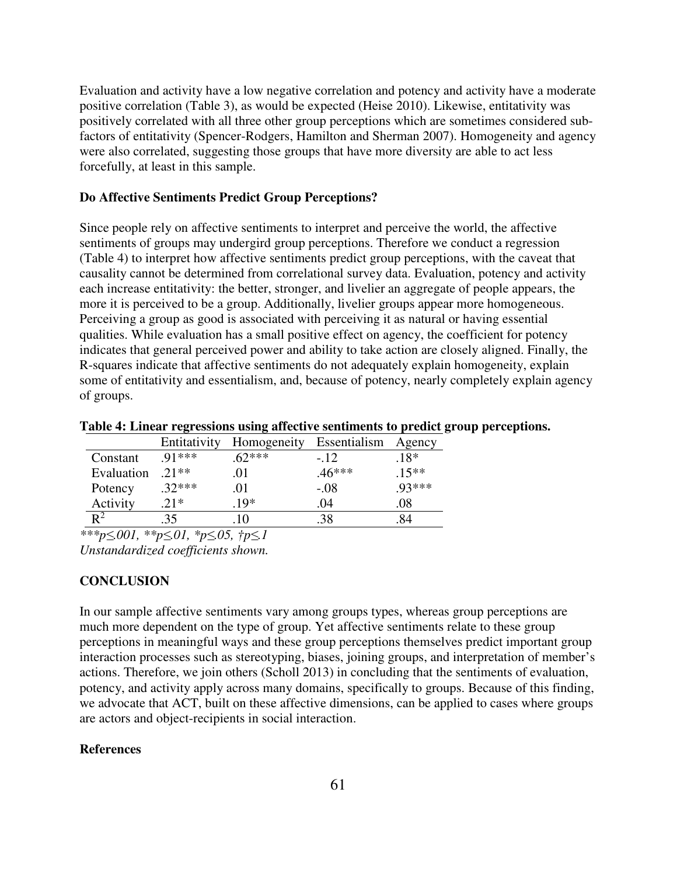Evaluation and activity have a low negative correlation and potency and activity have a moderate positive correlation (Table 3), as would be expected (Heise 2010). Likewise, entitativity was positively correlated with all three other group perceptions which are sometimes considered subfactors of entitativity (Spencer-Rodgers, Hamilton and Sherman 2007). Homogeneity and agency were also correlated, suggesting those groups that have more diversity are able to act less forcefully, at least in this sample.

#### **Do Affective Sentiments Predict Group Perceptions?**

Since people rely on affective sentiments to interpret and perceive the world, the affective sentiments of groups may undergird group perceptions. Therefore we conduct a regression (Table 4) to interpret how affective sentiments predict group perceptions, with the caveat that causality cannot be determined from correlational survey data. Evaluation, potency and activity each increase entitativity: the better, stronger, and livelier an aggregate of people appears, the more it is perceived to be a group. Additionally, livelier groups appear more homogeneous. Perceiving a group as good is associated with perceiving it as natural or having essential qualities. While evaluation has a small positive effect on agency, the coefficient for potency indicates that general perceived power and ability to take action are closely aligned. Finally, the R-squares indicate that affective sentiments do not adequately explain homogeneity, explain some of entitativity and essentialism, and, because of potency, nearly completely explain agency of groups.

|                | Entitativity | Homogeneity | Essentialism | Agency  |
|----------------|--------------|-------------|--------------|---------|
| Constant       | $91***$      | $62***$     | $-12$        | $.18*$  |
| Evaluation     | $.21**$      | .O I        | $.46***$     | $.15**$ |
| Potency        | $.32***$     | O I         | $-.08$       | .93 *** |
| Activity       | $.21*$       | $10*$       | .04          | .08     |
| $\mathbf{p}^2$ | 35           |             |              | 84      |

**Table 4: Linear regressions using affective sentiments to predict group perceptions.** 

*\*\*\*p≤.001, \*\*p≤.01, \*p≤.05, †p≤.1 Unstandardized coefficients shown.* 

#### **CONCLUSION**

In our sample affective sentiments vary among groups types, whereas group perceptions are much more dependent on the type of group. Yet affective sentiments relate to these group perceptions in meaningful ways and these group perceptions themselves predict important group interaction processes such as stereotyping, biases, joining groups, and interpretation of member's actions. Therefore, we join others (Scholl 2013) in concluding that the sentiments of evaluation, potency, and activity apply across many domains, specifically to groups. Because of this finding, we advocate that ACT, built on these affective dimensions, can be applied to cases where groups are actors and object-recipients in social interaction.

# **References**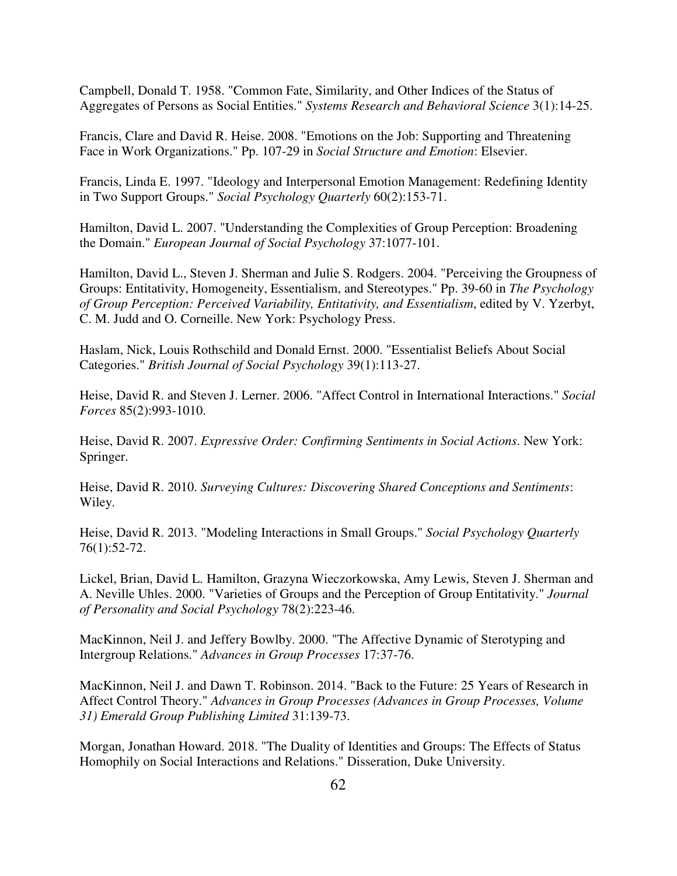Campbell, Donald T. 1958. "Common Fate, Similarity, and Other Indices of the Status of Aggregates of Persons as Social Entities." *Systems Research and Behavioral Science* 3(1):14-25.

Francis, Clare and David R. Heise. 2008. "Emotions on the Job: Supporting and Threatening Face in Work Organizations." Pp. 107-29 in *Social Structure and Emotion*: Elsevier.

Francis, Linda E. 1997. "Ideology and Interpersonal Emotion Management: Redefining Identity in Two Support Groups." *Social Psychology Quarterly* 60(2):153-71.

Hamilton, David L. 2007. "Understanding the Complexities of Group Perception: Broadening the Domain." *European Journal of Social Psychology* 37:1077-101.

Hamilton, David L., Steven J. Sherman and Julie S. Rodgers. 2004. "Perceiving the Groupness of Groups: Entitativity, Homogeneity, Essentialism, and Stereotypes." Pp. 39-60 in *The Psychology of Group Perception: Perceived Variability, Entitativity, and Essentialism*, edited by V. Yzerbyt, C. M. Judd and O. Corneille. New York: Psychology Press.

Haslam, Nick, Louis Rothschild and Donald Ernst. 2000. "Essentialist Beliefs About Social Categories." *British Journal of Social Psychology* 39(1):113-27.

Heise, David R. and Steven J. Lerner. 2006. "Affect Control in International Interactions." *Social Forces* 85(2):993-1010.

Heise, David R. 2007. *Expressive Order: Confirming Sentiments in Social Actions*. New York: Springer.

Heise, David R. 2010. *Surveying Cultures: Discovering Shared Conceptions and Sentiments*: Wiley.

Heise, David R. 2013. "Modeling Interactions in Small Groups." *Social Psychology Quarterly* 76(1):52-72.

Lickel, Brian, David L. Hamilton, Grazyna Wieczorkowska, Amy Lewis, Steven J. Sherman and A. Neville Uhles. 2000. "Varieties of Groups and the Perception of Group Entitativity." *Journal of Personality and Social Psychology* 78(2):223-46.

MacKinnon, Neil J. and Jeffery Bowlby. 2000. "The Affective Dynamic of Sterotyping and Intergroup Relations." *Advances in Group Processes* 17:37-76.

MacKinnon, Neil J. and Dawn T. Robinson. 2014. "Back to the Future: 25 Years of Research in Affect Control Theory." *Advances in Group Processes (Advances in Group Processes, Volume 31) Emerald Group Publishing Limited* 31:139-73.

Morgan, Jonathan Howard. 2018. "The Duality of Identities and Groups: The Effects of Status Homophily on Social Interactions and Relations." Disseration, Duke University.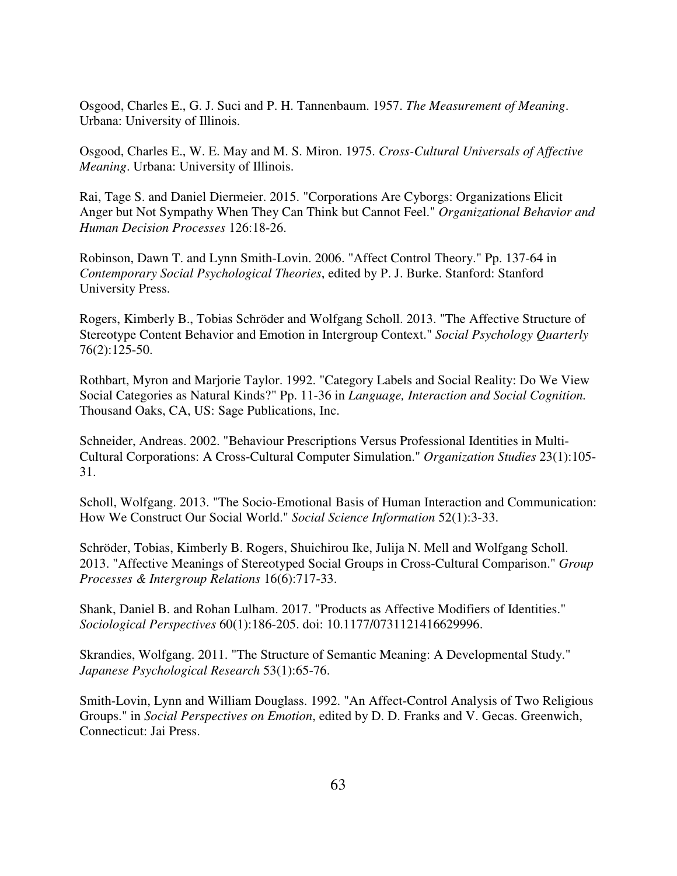Osgood, Charles E., G. J. Suci and P. H. Tannenbaum. 1957. *The Measurement of Meaning*. Urbana: University of Illinois.

Osgood, Charles E., W. E. May and M. S. Miron. 1975. *Cross-Cultural Universals of Affective Meaning*. Urbana: University of Illinois.

Rai, Tage S. and Daniel Diermeier. 2015. "Corporations Are Cyborgs: Organizations Elicit Anger but Not Sympathy When They Can Think but Cannot Feel." *Organizational Behavior and Human Decision Processes* 126:18-26.

Robinson, Dawn T. and Lynn Smith-Lovin. 2006. "Affect Control Theory." Pp. 137-64 in *Contemporary Social Psychological Theories*, edited by P. J. Burke. Stanford: Stanford University Press.

Rogers, Kimberly B., Tobias Schröder and Wolfgang Scholl. 2013. "The Affective Structure of Stereotype Content Behavior and Emotion in Intergroup Context." *Social Psychology Quarterly* 76(2):125-50.

Rothbart, Myron and Marjorie Taylor. 1992. "Category Labels and Social Reality: Do We View Social Categories as Natural Kinds?" Pp. 11-36 in *Language, Interaction and Social Cognition.* Thousand Oaks, CA, US: Sage Publications, Inc.

Schneider, Andreas. 2002. "Behaviour Prescriptions Versus Professional Identities in Multi-Cultural Corporations: A Cross-Cultural Computer Simulation." *Organization Studies* 23(1):105- 31.

Scholl, Wolfgang. 2013. "The Socio-Emotional Basis of Human Interaction and Communication: How We Construct Our Social World." *Social Science Information* 52(1):3-33.

Schröder, Tobias, Kimberly B. Rogers, Shuichirou Ike, Julija N. Mell and Wolfgang Scholl. 2013. "Affective Meanings of Stereotyped Social Groups in Cross-Cultural Comparison." *Group Processes & Intergroup Relations* 16(6):717-33.

Shank, Daniel B. and Rohan Lulham. 2017. "Products as Affective Modifiers of Identities." *Sociological Perspectives* 60(1):186-205. doi: 10.1177/0731121416629996.

Skrandies, Wolfgang. 2011. "The Structure of Semantic Meaning: A Developmental Study." *Japanese Psychological Research* 53(1):65-76.

Smith-Lovin, Lynn and William Douglass. 1992. "An Affect-Control Analysis of Two Religious Groups." in *Social Perspectives on Emotion*, edited by D. D. Franks and V. Gecas. Greenwich, Connecticut: Jai Press.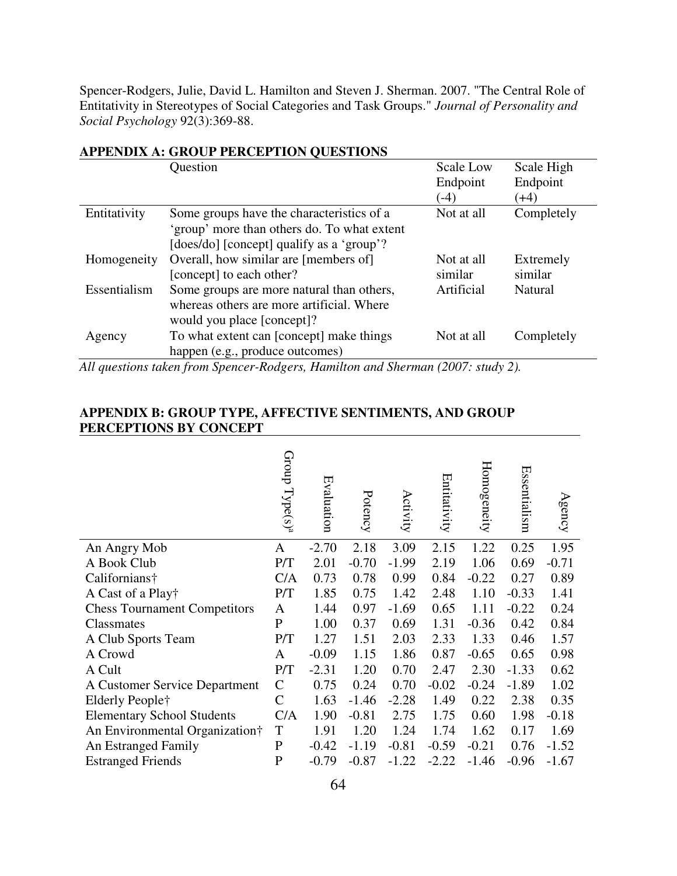Spencer-Rodgers, Julie, David L. Hamilton and Steven J. Sherman. 2007. "The Central Role of Entitativity in Stereotypes of Social Categories and Task Groups." *Journal of Personality and Social Psychology* 92(3):369-88.

|              | Question                                    | <b>Scale Low</b>   | Scale High         |
|--------------|---------------------------------------------|--------------------|--------------------|
|              |                                             | Endpoint<br>$(-4)$ | Endpoint<br>$(+4)$ |
| Entitativity | Some groups have the characteristics of a   | Not at all         | Completely         |
|              | 'group' more than others do. To what extent |                    |                    |
|              | [does/do] [concept] qualify as a 'group'?   |                    |                    |
| Homogeneity  | Overall, how similar are [members of]       | Not at all         | Extremely          |
|              | [concept] to each other?                    | similar            | similar            |
| Essentialism | Some groups are more natural than others,   | Artificial         | Natural            |
|              | whereas others are more artificial. Where   |                    |                    |
|              | would you place [concept]?                  |                    |                    |
| Agency       | To what extent can [concept] make things    | Not at all         | Completely         |
|              | happen (e.g., produce outcomes)             |                    |                    |

# **APPENDIX A: GROUP PERCEPTION QUESTIONS**

*All questions taken from Spencer-Rodgers, Hamilton and Sherman (2007: study 2).* 

# **APPENDIX B: GROUP TYPE, AFFECTIVE SENTIMENTS, AND GROUP PERCEPTIONS BY CONCEPT**

|                                     | $Group$ $Type(s)^a$ | Evaluation | Potency | Activity | Entitativity | Homogeneity | Essentialism | Agency  |
|-------------------------------------|---------------------|------------|---------|----------|--------------|-------------|--------------|---------|
| An Angry Mob                        | A                   | $-2.70$    | 2.18    | 3.09     | 2.15         | 1.22        | 0.25         | 1.95    |
| A Book Club                         | P/T                 | 2.01       | $-0.70$ | $-1.99$  | 2.19         | 1.06        | 0.69         | $-0.71$ |
| Californians†                       | C/A                 | 0.73       | 0.78    | 0.99     | 0.84         | $-0.22$     | 0.27         | 0.89    |
| A Cast of a Play†                   | P/T                 | 1.85       | 0.75    | 1.42     | 2.48         | 1.10        | $-0.33$      | 1.41    |
| <b>Chess Tournament Competitors</b> | A                   | 1.44       | 0.97    | $-1.69$  | 0.65         | 1.11        | $-0.22$      | 0.24    |
| Classmates                          | $\mathbf P$         | 1.00       | 0.37    | 0.69     | 1.31         | $-0.36$     | 0.42         | 0.84    |
| A Club Sports Team                  | P/T                 | 1.27       | 1.51    | 2.03     | 2.33         | 1.33        | 0.46         | 1.57    |
| A Crowd                             | A                   | $-0.09$    | 1.15    | 1.86     | 0.87         | $-0.65$     | 0.65         | 0.98    |
| A Cult                              | P/T                 | $-2.31$    | 1.20    | 0.70     | 2.47         | 2.30        | $-1.33$      | 0.62    |
| A Customer Service Department       | $\mathbf C$         | 0.75       | 0.24    | 0.70     | $-0.02$      | $-0.24$     | $-1.89$      | 1.02    |
| Elderly People†                     | $\mathcal{C}$       | 1.63       | $-1.46$ | $-2.28$  | 1.49         | 0.22        | 2.38         | 0.35    |
| <b>Elementary School Students</b>   | C/A                 | 1.90       | $-0.81$ | 2.75     | 1.75         | 0.60        | 1.98         | $-0.18$ |
| An Environmental Organization†      | $\mathbf T$         | 1.91       | 1.20    | 1.24     | 1.74         | 1.62        | 0.17         | 1.69    |
| An Estranged Family                 | $\mathbf{P}$        | $-0.42$    | $-1.19$ | $-0.81$  | $-0.59$      | $-0.21$     | 0.76         | $-1.52$ |
| <b>Estranged Friends</b>            | $\mathbf P$         | $-0.79$    | $-0.87$ | $-1.22$  | $-2.22$      | $-1.46$     | $-0.96$      | $-1.67$ |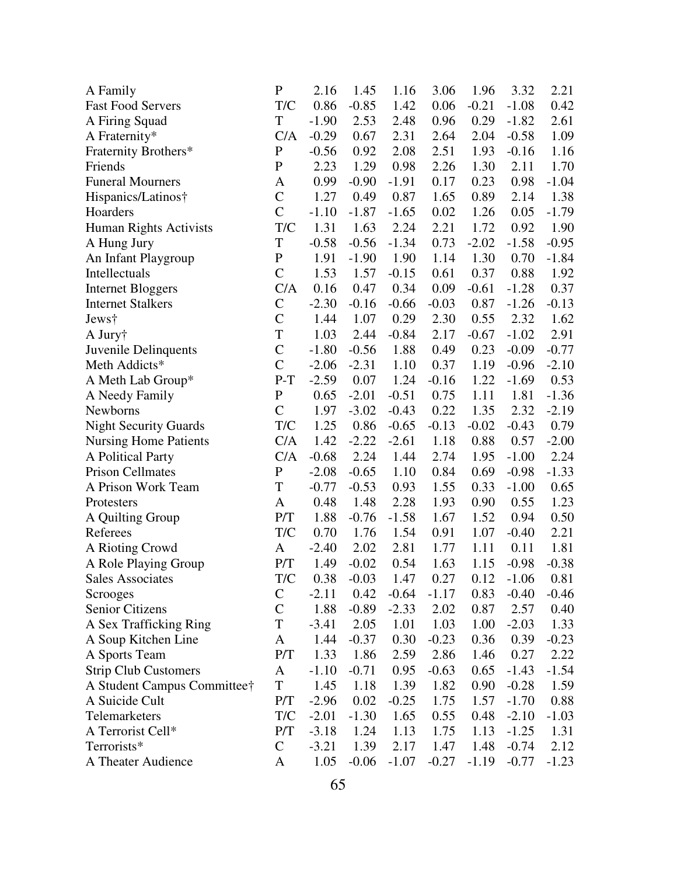| A Family                     | $\mathbf{P}$   | 2.16    | 1.45    | 1.16    | 3.06    | 1.96    | 3.32          | 2.21    |
|------------------------------|----------------|---------|---------|---------|---------|---------|---------------|---------|
| <b>Fast Food Servers</b>     | T/C            | 0.86    | $-0.85$ | 1.42    | 0.06    | $-0.21$ | $-1.08$       | 0.42    |
| A Firing Squad               | T              | $-1.90$ | 2.53    | 2.48    | 0.96    | 0.29    | $-1.82$       | 2.61    |
| A Fraternity*                | C/A            | $-0.29$ | 0.67    | 2.31    | 2.64    | 2.04    | $-0.58$       | 1.09    |
| Fraternity Brothers*         | $\mathbf{P}$   | $-0.56$ | 0.92    | 2.08    | 2.51    | 1.93    | $-0.16$       | 1.16    |
| Friends                      | ${\bf P}$      | 2.23    | 1.29    | 0.98    | 2.26    | 1.30    | 2.11          | 1.70    |
| <b>Funeral Mourners</b>      | A              | 0.99    | $-0.90$ | $-1.91$ | 0.17    | 0.23    | 0.98          | $-1.04$ |
| Hispanics/Latinos†           | $\overline{C}$ | 1.27    | 0.49    | 0.87    | 1.65    | 0.89    | 2.14          | 1.38    |
| Hoarders                     | $\overline{C}$ | $-1.10$ | $-1.87$ | $-1.65$ | 0.02    | 1.26    | 0.05          | $-1.79$ |
| Human Rights Activists       | T/C            | 1.31    | 1.63    | 2.24    | 2.21    | 1.72    | 0.92          | 1.90    |
| A Hung Jury                  | T              | $-0.58$ | $-0.56$ | $-1.34$ | 0.73    | $-2.02$ | $-1.58$       | $-0.95$ |
| An Infant Playgroup          | $\mathbf P$    | 1.91    | $-1.90$ | 1.90    | 1.14    | 1.30    | 0.70          | $-1.84$ |
| Intellectuals                | $\mathcal{C}$  | 1.53    | 1.57    | $-0.15$ | 0.61    | 0.37    | 0.88          | 1.92    |
| <b>Internet Bloggers</b>     | C/A            | 0.16    | 0.47    | 0.34    | 0.09    | $-0.61$ | $-1.28$       | 0.37    |
| <b>Internet Stalkers</b>     | $\mathcal{C}$  | $-2.30$ | $-0.16$ | $-0.66$ | $-0.03$ | 0.87    | $-1.26$       | $-0.13$ |
| Jews†                        | $\overline{C}$ | 1.44    | 1.07    | 0.29    | 2.30    | 0.55    | 2.32          | 1.62    |
| A Jury†                      | T              | 1.03    | 2.44    | $-0.84$ | 2.17    | $-0.67$ | $-1.02$       | 2.91    |
| Juvenile Delinquents         | $\mathcal{C}$  | $-1.80$ | $-0.56$ | 1.88    | 0.49    | 0.23    | $-0.09$       | $-0.77$ |
| Meth Addicts*                | $\overline{C}$ | $-2.06$ | $-2.31$ | 1.10    | 0.37    | 1.19    | $-0.96$       | $-2.10$ |
| A Meth Lab Group*            | $P-T$          | $-2.59$ | 0.07    | 1.24    | $-0.16$ | 1.22    | $-1.69$       | 0.53    |
| A Needy Family               | $\mathbf{P}$   | 0.65    | $-2.01$ | $-0.51$ | 0.75    | 1.11    | 1.81          | $-1.36$ |
| Newborns                     | $\mathcal{C}$  | 1.97    | $-3.02$ | $-0.43$ | 0.22    | 1.35    | 2.32          | $-2.19$ |
| <b>Night Security Guards</b> | T/C            | 1.25    | 0.86    | $-0.65$ | $-0.13$ | $-0.02$ | $-0.43$       | 0.79    |
| <b>Nursing Home Patients</b> | C/A            | 1.42    | $-2.22$ | $-2.61$ | 1.18    | 0.88    | 0.57          | $-2.00$ |
| A Political Party            | C/A            | $-0.68$ | 2.24    | 1.44    | 2.74    | 1.95    | $-1.00$       | 2.24    |
| <b>Prison Cellmates</b>      | $\mathbf P$    | $-2.08$ | $-0.65$ | 1.10    | 0.84    | 0.69    | $-0.98$       | $-1.33$ |
| A Prison Work Team           | T              | $-0.77$ | $-0.53$ | 0.93    | 1.55    | 0.33    | $-1.00$       | 0.65    |
| Protesters                   | A              | 0.48    | 1.48    | 2.28    | 1.93    | 0.90    | 0.55          | 1.23    |
| A Quilting Group             | P/T            | 1.88    | $-0.76$ | $-1.58$ | 1.67    | 1.52    | 0.94          | 0.50    |
| Referees                     | T/C            | 0.70    | 1.76    | 1.54    | 0.91    | 1.07    | $-0.40$       | 2.21    |
| A Rioting Crowd              | A              | $-2.40$ | 2.02    | 2.81    | 1.77    | 1.11    | 0.11          | 1.81    |
| A Role Playing Group         | P/T            | 1.49    | $-0.02$ | 0.54    | 1.63    | 1.15    | $-0.98$       | $-0.38$ |
| <b>Sales Associates</b>      | T/C            | 0.38    | $-0.03$ | 1.47    | 0.27    |         | $0.12 - 1.06$ | 0.81    |
| Scrooges                     | C              | $-2.11$ | 0.42    | $-0.64$ | $-1.17$ | 0.83    | $-0.40$       | $-0.46$ |
| Senior Citizens              | $\mathcal{C}$  | 1.88    | $-0.89$ | $-2.33$ | 2.02    | 0.87    | 2.57          | 0.40    |
| A Sex Trafficking Ring       | T              | $-3.41$ | 2.05    | 1.01    | 1.03    | 1.00    | $-2.03$       | 1.33    |
| A Soup Kitchen Line          | A              | 1.44    | $-0.37$ | 0.30    | $-0.23$ | 0.36    | 0.39          | $-0.23$ |
| A Sports Team                | P/T            | 1.33    | 1.86    | 2.59    | 2.86    | 1.46    | 0.27          | 2.22    |
| <b>Strip Club Customers</b>  | A              | $-1.10$ | $-0.71$ | 0.95    | $-0.63$ | 0.65    | $-1.43$       | $-1.54$ |
| A Student Campus Committee†  | T              | 1.45    | 1.18    | 1.39    | 1.82    | 0.90    | $-0.28$       | 1.59    |
| A Suicide Cult               | P/T            | $-2.96$ | 0.02    | $-0.25$ | 1.75    | 1.57    | $-1.70$       | 0.88    |
| Telemarketers                | T/C            | $-2.01$ | $-1.30$ | 1.65    | 0.55    | 0.48    | $-2.10$       | $-1.03$ |
| A Terrorist Cell*            | P/T            | $-3.18$ | 1.24    | 1.13    | 1.75    | 1.13    | $-1.25$       | 1.31    |
| Terrorists*                  | $\mathsf{C}$   | $-3.21$ | 1.39    | 2.17    | 1.47    | 1.48    | $-0.74$       | 2.12    |
| A Theater Audience           | A              | 1.05    | $-0.06$ | $-1.07$ | $-0.27$ | $-1.19$ | $-0.77$       | $-1.23$ |